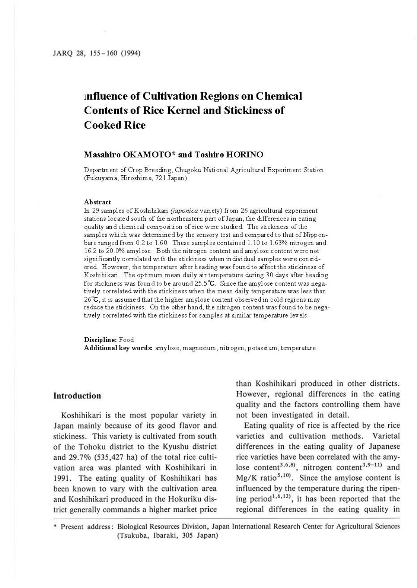# **rnfluence of Cultivation Regions on Chemical Contents of Rice Kernel and Stickiness of Cooked Rice**

### **Masahiro OKAMOTO\* and Toshiro HORINO**

Department of Crop Breeding, Chugoku National Agricultural Experiment Station (Fukuyama, Hiroshima, 721 Japan)

#### **Abstract**

In 29 samples of Koshihikari *(japonica* variety) from 26 agricultural experiment stations located south of the northeastern part of Japan, the differences in eating quality and chemical composition of rice were studied. The stickiness of the samples which was determined by the sensory test and compared to that of Nipponbare ranged from 0.2 to 1.60. These samples contained 1.10 to 1.63% nitrogen and 16.2 to 20.0% amylose. Both the nitrogen content and amylose content were not significantly correlated with the stickiness when individual samples were considered. However, the temperature after heading was found to affect the stickiness of Koshihikari. The optimum mean daily air temperature during 30 days after heading for stickiness was found to be around 25.5°C. Since the amylose content was negatively correlated with the stickiness when the mean daily temperature was less than 26°C, it is assumed that the higher amylose content observed in cold regions may reduce the stickiness. On the other hand, the nitrogen content was found to be negatively correlated with the stickiness for samples at similar temperature levels.

**Discipline:** Food **Additional key words:** amylose, magnesium, nitrogen, potassium, temperature

## **Introduction**

Koshihikari is the most popular variety in Japan mainly because of its good flavor and stickiness. This variety is cultivated from south of the Tohoku district to the Kyushu district and  $29.7\%$  (535,427 ha) of the total rice cultivation area was planted with Koshihikari in 1991. The eating quality of Koshihikari has been known to vary with the cultivation area and Koshihikari produced in the Hokuriku district generally commands a higher market price than Koshihikari produced in other districts. However, regional differences in the eating quality and the factors controlling them have not been investigated in detail.

Eating quality of rice is affected by the rice varieties and cultivation methods. Varietal differences in the eating quality of Japanese rice varieties have been correlated with the amylose content<sup>3,6,8</sup>, nitrogen content<sup>3,9-11</sup> and  $Mg/K$  ratio<sup>5,10</sup>. Since the amylose content is influenced by the temperature during the ripening period<sup>1,6,12</sup>, it has been reported that the regional differences in the eating quality in

\* Present address: Biological Resources Division, Japan International Research Center for Agricultural Sciences (Tsukuba, lbaraki, 305 Japan)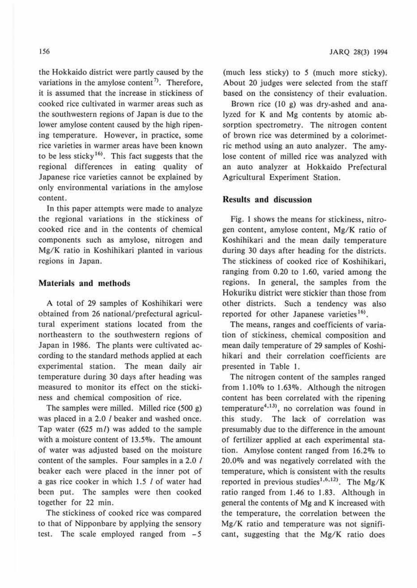the Hokkaido district were partly caused by the variations in the amylose content<sup>7</sup>. Therefore, it is assumed that the increase in stickiness of cooked rice cultivated in warmer areas such as the southwestern regions of Japan is due to the lower amylose content caused by the high ripening temperature. However, in practice, some rice varieties in warmer areas have been known to be less sticky<sup>16)</sup>. This fact suggests that the regional differences in eating quality of Japanese rice varieties cannot be explained by only environmental variations in the amylose content.

In this paper attempts were made to analyze the regional variations in the stickiness of cooked rice and in the contents of chemical components such as amylose, nitrogen and Mg/K ratio in Koshihikari planted in various regions in Japan.

## **Materials and methods**

A total of 29 samples of Koshihikari were obtained from 26 national/prefectural agricultural experiment stations located from the northeastern to the southwestern regions of Japan in 1986. The plants were cultivated according to the standard methods applied at each experimental station. The mean daily air temperature during 30 days after heading was measured to monitor its effect on the stickiness and chemical composition of rice.

The samples were milled. Milled rice (500 g) was placed in a 2.0 / beaker and washed once. Tap water (625 m/) was added to the sample with a moisture content of 13.5%. The amount of water was adjusted based on the moisture content of the samples. Four samples in a 2.0 / beaker each were placed in the inner pot of a gas rice cooker in which 1.5 I of water had been put. The samples were then cooked together for 22 min.

The stickiness of cooked rice was compared to that of Nipponbare by applying the sensory test. The scale employed ranged from - *5* 

(much less sticky) to *5* (much more sticky). About 20 judges were selected from the staff based on the consistency of their evaluation.

Brown rice (10 g) was dry-ashed and analyzed for K and Mg contents by atomic absorption spectrometry. The nitrogen content of brown rice was determined by a colorimetric method using an auto analyzer. The amylose content of milled rice was analyzed with an auto analyzer at Hokkaido Prefectural Agricultural Experiment Station.

## **Results and discussion**

Fig. I shows the means for stickiness, nitrogen content, amylose content, **Mg/K** ratio of Koshihikari and the mean daily temperature during 30 days after heading for the districts. The stickiness of cooked rice of Koshihikari, ranging from 0.20 to 1.60, varied among the regions. In general, the samples from the Hokuriku district were stickier than those from other districts. Such a tendency was also reported for other Japanese varieties<sup>16)</sup>.

The means, ranges and coefficients of variation of stickiness, chemical composition and mean daily temperature of 29 samples of Koshibikari and their correlation coefficients are presented in Table I.

The nitrogen content of the samples ranged from 1.10% to 1.63%. Although the nitrogen content has been correlated with the ripening temperature<sup>4,13)</sup>, no correlation was found in this study. The lack of correlation was presumably due to the difference in the amount of fertilizer applied at each experimental station. Amylose content ranged from 16.2% to 20.0% and was negatively correlated with the temperature, which is consistent with the results reported in previous studies<sup>1,6,12)</sup>. The Mg/K ratio ranged from 1.46 to 1.83. Although in general the contents of Mg and K increased with the temperature, the correlation between the Mg/K ratio and temperature was not significant, suggesting that the Mg/K ratio does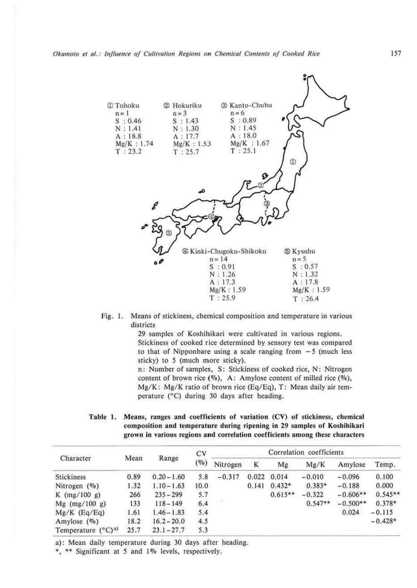

#### Fig. 1. Means of stickiness, chemical composition and temperature in various districts

29 samples of Koshihikari were cultivated in various regions. Stickiness of cooked rice determined by sensory test was compared to that of Nipponbare using a scale ranging from  $-5$  (much less sticky) to *5* (much more sticky).

n: Number of samples, S: Stickiness of cooked rice, N: Nitrogen content of brown rice ( $\%$ ), A: Amylose content of milled rice ( $\%$ ), Mg/K: Mg/K ratio of brown rice (Eq/Eq), T: Mean daily air temperature (°C) during 30 days after heading.

Table 1. Means, ranges and coefficients of variation (CV) of stickiness, chemical composition and temperature during ripening in 29 samples of Koshihikari grown in various regions and correlation coefficients among these characters

| Character                     | Mean | Range         | <b>CV</b><br>(0/0) | Correlation coefficients |       |           |           |            |           |
|-------------------------------|------|---------------|--------------------|--------------------------|-------|-----------|-----------|------------|-----------|
|                               |      |               |                    | Nitrogen                 | K     | Mg        | Mg/K      | Amylose    | Temp.     |
| Stickiness                    | 0.89 | $0.20 - 1.60$ | 5.8                | $-0.317$                 | 0.022 | 0.014     | $-0.010$  | $-0.096$   | 0.100     |
| Nitrogen $(\%)$               | 1.32 | $1.10 - 1.63$ | 10.0               |                          | 0.141 | $0.432*$  | $0.383*$  | $-0.188$   | 0.000     |
| $K$ (mg/100 g)                | 266  | $235 - 299$   | 5.7                |                          |       | $0.615**$ | $-0.322$  | $-0.606**$ | $0.545**$ |
| Mg $(mg/100 g)$               | 133  | $118 - 149$   | 6.4                | $\tau$                   |       |           | $0.547**$ | $-0.500**$ | $0.378*$  |
| $Mg/K$ (Eq/Eq)                | 1.61 | $1.46 - 1.83$ | 5.4                |                          |       |           |           | 0.024      | $-0.115$  |
| Amylose $(\%$                 | 18.2 | $16.2 - 20.0$ | 4.5                |                          |       |           |           |            | $-0.428*$ |
| Temperature $(^{\circ}C)^{a}$ | 25.7 | $23.1 - 27.7$ | 5.3                |                          |       |           |           |            |           |

a): Mean daily temperature during 30 days after heading.

\*, \*\* Significant at 5 and 1% levels, respectively.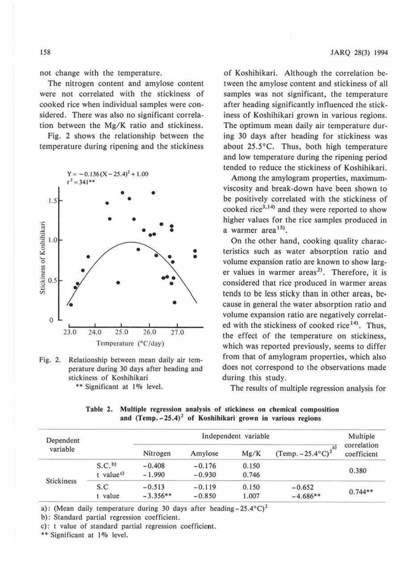not change with the temperature.

The nitrogen content and amylose content were not correlated with the stickiness of cooked rice when individual samples were considered. There was also no significant correlation between the Mg/K ratio and stickiness.

Fig. 2 shows the relationship between the temperature during ripening and the stickiness





of Koshihikari. Although the correlation between the amylose content and stickiness of all samples was not significant, the temperature after heading significantly influenced the stickiness of Koshihikari grown in various regions. The optimum mean daily air temperature during 30 days after heading for stickiness was about 25.5°C. Thus, both high temperature and low temperature during the ripening period tended to reduce the stickiness of Koshihikari.

Among the amylogram properties, maximumviscosity and break-down have been shown to be positively correlated with the stickiness of cooked rice $3,14$  and they were reported to show higher values for the rice samples produced in a warmer area<sup>15</sup>).

On the other hand, cooking quality characteristics such as water absorption ratio and volume expansion ratio are known to show larger values in warmer areas<sup>2)</sup>. Therefore, it is considered that rice produced in warmer areas tends to be less sticky than in other areas, because in general the water absorption ratio and volume expansion ratio are negatively correlated with the stickiness of cooked rice<sup>14)</sup>. Thus, the effect of the temperature on stickiness, which was reported previously, seems to differ from that of amylogram properties, which also does not correspond to the observations made during this study.

The results of multiple regression analysis for

| Dependent<br>variable |                       |            | Multiple |       |                                  |                            |  |
|-----------------------|-----------------------|------------|----------|-------|----------------------------------|----------------------------|--|
|                       |                       | Nitrogen   | Amylose  | Mg/K  | $(Temp. -25.4^{\circ}C)^{2^{a}}$ | correlation<br>coefficient |  |
| <b>Stickiness</b>     | S.C. <sub>b</sub>     | $-0.408$   | $-0.176$ | 0.150 |                                  | 0.380                      |  |
|                       | t value <sup>c)</sup> | $-1.990$   | $-0.930$ | 0.746 |                                  |                            |  |
|                       | S.C.                  | $-0.513$   | $-0.119$ | 0.150 | $-0.652$                         | $0.744**$                  |  |
|                       | value                 | $-3.356**$ | $-0.850$ | 1.007 | $-4.686**$                       |                            |  |

Table 2. Multiple regression analysis of stickiness on chemical composition and  $(Temp. -25.4)^2$  of Koshihikari grown in various regions

a): (Mean daily temperature during 30 days after heading -  $25.4^{\circ}$ C)<sup>2</sup>

b): Standard partial regression coefficient.

c): t value of standard partial regression coefficient.

\*\* Significant at 1% level.

158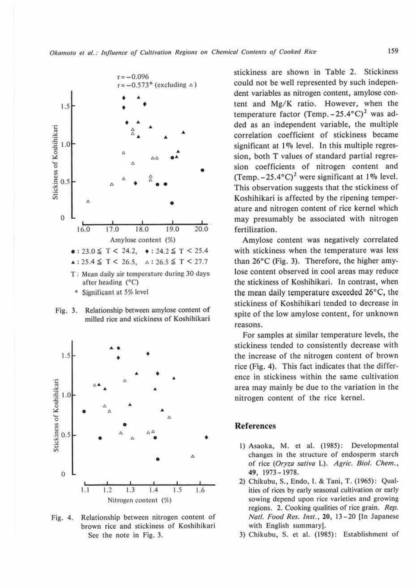

\* Significant at 5% level

Relationship between amylose content of Fig. 3. milled rice and stickiness of Koshihikari



Relationship between nitrogen content of Fig. 4. brown rice and stickiness of Koshihikari See the note in Fig. 3.

stickiness are shown in Table 2. Stickiness could not be well represented by such independent variables as nitrogen content, amylose content and Mg/K ratio. However, when the temperature factor (Temp.  $-25.4$ °C)<sup>2</sup> was added as an independent variable, the multiple correlation coefficient of stickiness became significant at 1% level. In this multiple regression, both T values of standard partial regression coefficients of nitrogen content and (Temp.  $-25.4$ °C)<sup>2</sup> were significant at 1% level. This observation suggests that the stickiness of Koshihikari is affected by the ripening temperature and nitrogen content of rice kernel which may presumably be associated with nitrogen fertilization.

Amylose content was negatively correlated with stickiness when the temperature was less than  $26^{\circ}$ C (Fig. 3). Therefore, the higher amylose content observed in cool areas may reduce the stickiness of Koshihikari. In contrast, when the mean daily temperature exceeded 26°C, the stickiness of Koshihikari tended to decrease in spite of the low amylose content, for unknown reasons.

For samples at similar temperature levels, the stickiness tended to consistently decrease with the increase of the nitrogen content of brown rice (Fig. 4). This fact indicates that the difference in stickiness within the same cultivation area may mainly be due to the variation in the nitrogen content of the rice kernel.

#### **References**

- 1) Asaoka, M. et al. (1985): Developmental changes in the structure of endosperm starch of rice (Oryza sativa L). Agric. Biol. Chem., 49, 1973-1978.
- 2) Chikubu, S., Endo, I. & Tani, T. (1965): Qualities of rices by early seasonal cultivation or early sowing depend upon rice varieties and growing regions. 2. Cooking qualities of rice grain. Rep. Natl. Food Res. Inst., 20, 13-20 [In Japanese with English summary].
- 3) Chikubu, S. et al. (1985): Establishment of